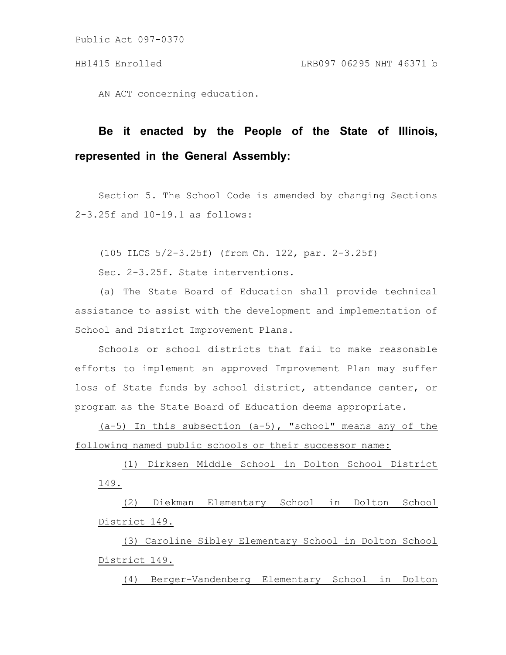Public Act 097-0370

AN ACT concerning education.

## **Be it enacted by the People of the State of Illinois, represented in the General Assembly:**

Section 5. The School Code is amended by changing Sections 2-3.25f and 10-19.1 as follows:

(105 ILCS 5/2-3.25f) (from Ch. 122, par. 2-3.25f)

Sec. 2-3.25f. State interventions.

(a) The State Board of Education shall provide technical assistance to assist with the development and implementation of School and District Improvement Plans.

Schools or school districts that fail to make reasonable efforts to implement an approved Improvement Plan may suffer loss of State funds by school district, attendance center, or program as the State Board of Education deems appropriate.

 $(a-5)$  In this subsection  $(a-5)$ , "school" means any of the following named public schools or their successor name:

(1) Dirksen Middle School in Dolton School District 149.

(2) Diekman Elementary School in Dolton School District 149.

(3) Caroline Sibley Elementary School in Dolton School District 149.

(4) Berger-Vandenberg Elementary School in Dolton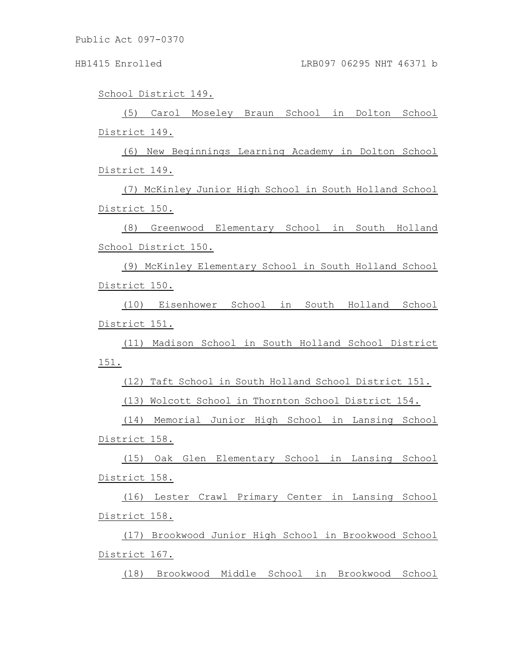Public Act 097-0370

School District 149.

(5) Carol Moseley Braun School in Dolton School District 149.

(6) New Beginnings Learning Academy in Dolton School District 149.

(7) McKinley Junior High School in South Holland School District 150.

(8) Greenwood Elementary School in South Holland School District 150.

(9) McKinley Elementary School in South Holland School District 150.

(10) Eisenhower School in South Holland School District 151.

(11) Madison School in South Holland School District 151.

(12) Taft School in South Holland School District 151.

(13) Wolcott School in Thornton School District 154.

(14) Memorial Junior High School in Lansing School District 158.

(15) Oak Glen Elementary School in Lansing School District 158.

(16) Lester Crawl Primary Center in Lansing School District 158.

(17) Brookwood Junior High School in Brookwood School District 167.

(18) Brookwood Middle School in Brookwood School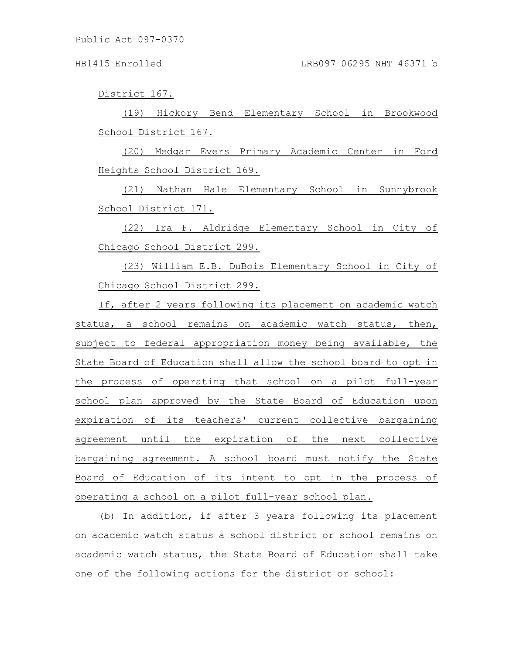District 167.

(19) Hickory Bend Elementary School in Brookwood School District 167.

(20) Medgar Evers Primary Academic Center in Ford Heights School District 169.

(21) Nathan Hale Elementary School in Sunnybrook School District 171.

(22) Ira F. Aldridge Elementary School in City of Chicago School District 299.

(23) William E.B. DuBois Elementary School in City of Chicago School District 299.

If, after 2 years following its placement on academic watch status, a school remains on academic watch status, then, subject to federal appropriation money being available, the State Board of Education shall allow the school board to opt in the process of operating that school on a pilot full-year school plan approved by the State Board of Education upon expiration of its teachers' current collective bargaining agreement until the expiration of the next collective bargaining agreement. A school board must notify the State Board of Education of its intent to opt in the process of operating a school on a pilot full-year school plan.

(b) In addition, if after 3 years following its placement on academic watch status a school district or school remains on academic watch status, the State Board of Education shall take one of the following actions for the district or school: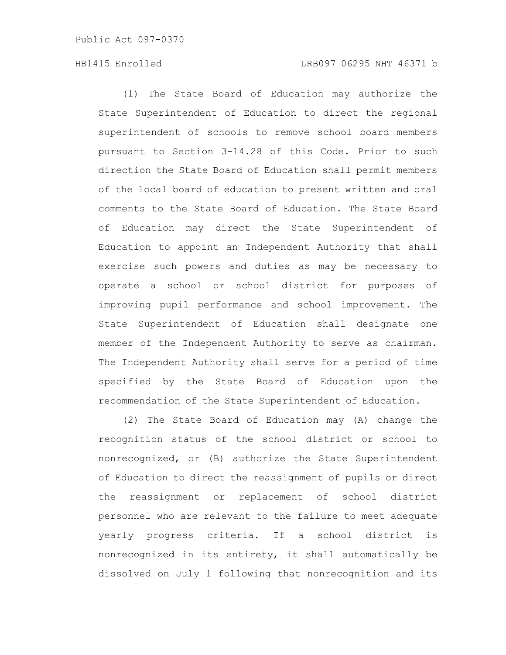## HB1415 Enrolled LRB097 06295 NHT 46371 b

(1) The State Board of Education may authorize the State Superintendent of Education to direct the regional superintendent of schools to remove school board members pursuant to Section 3-14.28 of this Code. Prior to such direction the State Board of Education shall permit members of the local board of education to present written and oral comments to the State Board of Education. The State Board of Education may direct the State Superintendent of Education to appoint an Independent Authority that shall exercise such powers and duties as may be necessary to operate a school or school district for purposes of improving pupil performance and school improvement. The State Superintendent of Education shall designate one member of the Independent Authority to serve as chairman. The Independent Authority shall serve for a period of time specified by the State Board of Education upon the recommendation of the State Superintendent of Education.

(2) The State Board of Education may (A) change the recognition status of the school district or school to nonrecognized, or (B) authorize the State Superintendent of Education to direct the reassignment of pupils or direct the reassignment or replacement of school district personnel who are relevant to the failure to meet adequate yearly progress criteria. If a school district is nonrecognized in its entirety, it shall automatically be dissolved on July 1 following that nonrecognition and its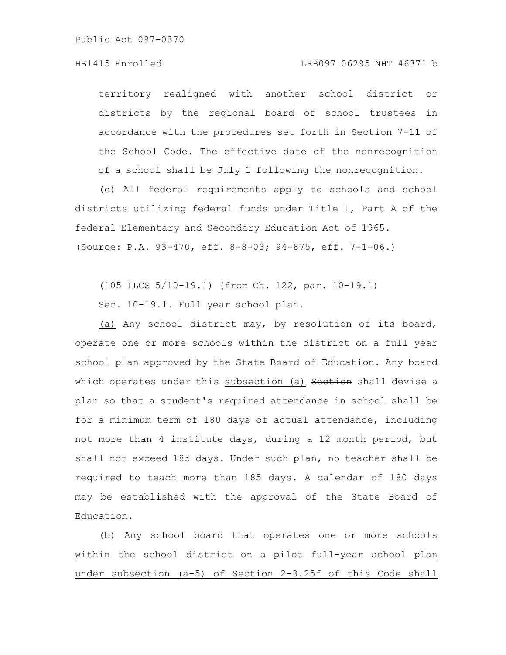## HB1415 Enrolled LRB097 06295 NHT 46371 b

territory realigned with another school district or districts by the regional board of school trustees in accordance with the procedures set forth in Section 7-11 of the School Code. The effective date of the nonrecognition of a school shall be July 1 following the nonrecognition.

(c) All federal requirements apply to schools and school districts utilizing federal funds under Title I, Part A of the federal Elementary and Secondary Education Act of 1965. (Source: P.A. 93-470, eff. 8-8-03; 94-875, eff. 7-1-06.)

(105 ILCS 5/10-19.1) (from Ch. 122, par. 10-19.1)

Sec. 10-19.1. Full year school plan.

(a) Any school district may, by resolution of its board, operate one or more schools within the district on a full year school plan approved by the State Board of Education. Any board which operates under this subsection (a) Section shall devise a plan so that a student's required attendance in school shall be for a minimum term of 180 days of actual attendance, including not more than 4 institute days, during a 12 month period, but shall not exceed 185 days. Under such plan, no teacher shall be required to teach more than 185 days. A calendar of 180 days may be established with the approval of the State Board of Education.

(b) Any school board that operates one or more schools within the school district on a pilot full-year school plan under subsection (a-5) of Section 2-3.25f of this Code shall